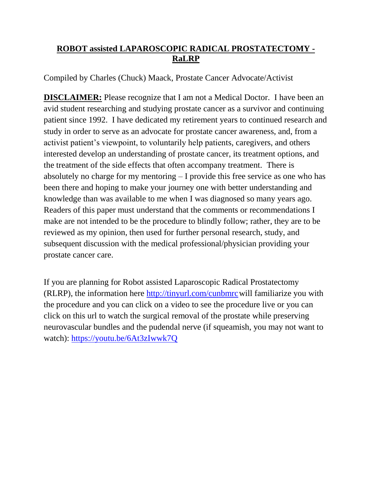## **ROBOT assisted LAPAROSCOPIC RADICAL PROSTATECTOMY - RaLRP**

Compiled by Charles (Chuck) Maack, Prostate Cancer Advocate/Activist

**DISCLAIMER:** Please recognize that I am not a Medical Doctor. I have been an avid student researching and studying prostate cancer as a survivor and continuing patient since 1992. I have dedicated my retirement years to continued research and study in order to serve as an advocate for prostate cancer awareness, and, from a activist patient's viewpoint, to voluntarily help patients, caregivers, and others interested develop an understanding of prostate cancer, its treatment options, and the treatment of the side effects that often accompany treatment. There is absolutely no charge for my mentoring – I provide this free service as one who has been there and hoping to make your journey one with better understanding and knowledge than was available to me when I was diagnosed so many years ago. Readers of this paper must understand that the comments or recommendations I make are not intended to be the procedure to blindly follow; rather, they are to be reviewed as my opinion, then used for further personal research, study, and subsequent discussion with the medical professional/physician providing your prostate cancer care.

If you are planning for Robot assisted Laparoscopic Radical Prostatectomy (RLRP), the information here [http://tinyurl.com/cunbmrcw](http://tinyurl.com/cunbmrc)ill familiarize you with the procedure and you can click on a video to see the procedure live or you can click on this url to watch the surgical removal of the prostate while preserving neurovascular bundles and the pudendal nerve (if squeamish, you may not want to watch): <https://youtu.be/6At3zIwwk7Q>